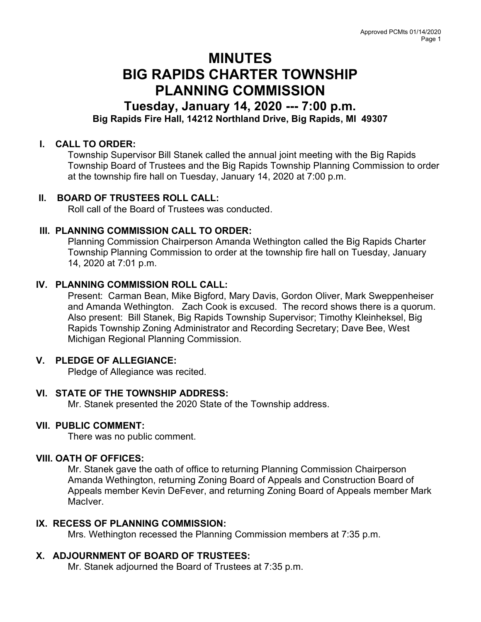# MINUTES BIG RAPIDS CHARTER TOWNSHIP PLANNING COMMISSION

## Tuesday, January 14, 2020 --- 7:00 p.m. Big Rapids Fire Hall, 14212 Northland Drive, Big Rapids, MI 49307

### I. CALL TO ORDER:

Township Supervisor Bill Stanek called the annual joint meeting with the Big Rapids Township Board of Trustees and the Big Rapids Township Planning Commission to order at the township fire hall on Tuesday, January 14, 2020 at 7:00 p.m.

#### II. BOARD OF TRUSTEES ROLL CALL:

Roll call of the Board of Trustees was conducted.

#### III. PLANNING COMMISSION CALL TO ORDER:

Planning Commission Chairperson Amanda Wethington called the Big Rapids Charter Township Planning Commission to order at the township fire hall on Tuesday, January 14, 2020 at 7:01 p.m.

#### IV. PLANNING COMMISSION ROLL CALL:

Present: Carman Bean, Mike Bigford, Mary Davis, Gordon Oliver, Mark Sweppenheiser and Amanda Wethington. Zach Cook is excused. The record shows there is a quorum. Also present: Bill Stanek, Big Rapids Township Supervisor; Timothy Kleinheksel, Big Rapids Township Zoning Administrator and Recording Secretary; Dave Bee, West Michigan Regional Planning Commission.

## V. PLEDGE OF ALLEGIANCE:

Pledge of Allegiance was recited.

## VI. STATE OF THE TOWNSHIP ADDRESS:

Mr. Stanek presented the 2020 State of the Township address.

#### VII. PUBLIC COMMENT:

There was no public comment.

#### VIII. OATH OF OFFICES:

Mr. Stanek gave the oath of office to returning Planning Commission Chairperson Amanda Wethington, returning Zoning Board of Appeals and Construction Board of Appeals member Kevin DeFever, and returning Zoning Board of Appeals member Mark MacIver.

#### IX. RECESS OF PLANNING COMMISSION:

Mrs. Wethington recessed the Planning Commission members at 7:35 p.m.

## X. ADJOURNMENT OF BOARD OF TRUSTEES:

Mr. Stanek adjourned the Board of Trustees at 7:35 p.m.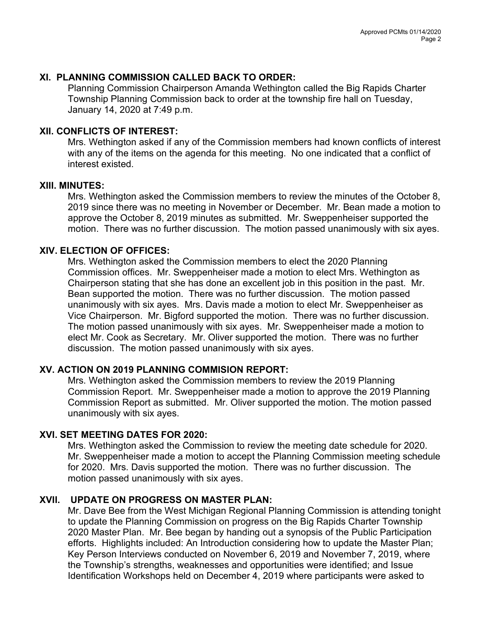#### XI. PLANNING COMMISSION CALLED BACK TO ORDER:

Planning Commission Chairperson Amanda Wethington called the Big Rapids Charter Township Planning Commission back to order at the township fire hall on Tuesday, January 14, 2020 at 7:49 p.m.

#### XII. CONFLICTS OF INTEREST:

Mrs. Wethington asked if any of the Commission members had known conflicts of interest with any of the items on the agenda for this meeting. No one indicated that a conflict of interest existed.

#### XIII. MINUTES:

Mrs. Wethington asked the Commission members to review the minutes of the October 8, 2019 since there was no meeting in November or December. Mr. Bean made a motion to approve the October 8, 2019 minutes as submitted. Mr. Sweppenheiser supported the motion. There was no further discussion. The motion passed unanimously with six ayes.

#### XIV. ELECTION OF OFFICES:

Mrs. Wethington asked the Commission members to elect the 2020 Planning Commission offices. Mr. Sweppenheiser made a motion to elect Mrs. Wethington as Chairperson stating that she has done an excellent job in this position in the past. Mr. Bean supported the motion. There was no further discussion. The motion passed unanimously with six ayes. Mrs. Davis made a motion to elect Mr. Sweppenheiser as Vice Chairperson. Mr. Bigford supported the motion. There was no further discussion. The motion passed unanimously with six ayes. Mr. Sweppenheiser made a motion to elect Mr. Cook as Secretary. Mr. Oliver supported the motion. There was no further discussion. The motion passed unanimously with six ayes.

## XV. ACTION ON 2019 PLANNING COMMISION REPORT:

Mrs. Wethington asked the Commission members to review the 2019 Planning Commission Report. Mr. Sweppenheiser made a motion to approve the 2019 Planning Commission Report as submitted. Mr. Oliver supported the motion. The motion passed unanimously with six ayes.

#### XVI. SET MEETING DATES FOR 2020:

Mrs. Wethington asked the Commission to review the meeting date schedule for 2020. Mr. Sweppenheiser made a motion to accept the Planning Commission meeting schedule for 2020. Mrs. Davis supported the motion. There was no further discussion. The motion passed unanimously with six ayes.

## XVII. UPDATE ON PROGRESS ON MASTER PLAN:

 Mr. Dave Bee from the West Michigan Regional Planning Commission is attending tonight to update the Planning Commission on progress on the Big Rapids Charter Township 2020 Master Plan. Mr. Bee began by handing out a synopsis of the Public Participation efforts. Highlights included: An Introduction considering how to update the Master Plan; Key Person Interviews conducted on November 6, 2019 and November 7, 2019, where the Township's strengths, weaknesses and opportunities were identified; and Issue Identification Workshops held on December 4, 2019 where participants were asked to